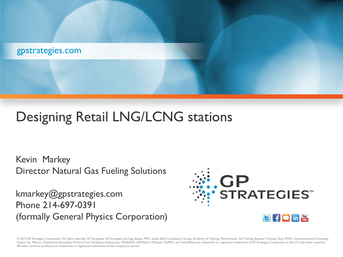

## Designing Retail LNG/LCNG stations

Kevin Markey Director Natural Gas Fueling Solutions

kmarkey@gpstrategies.com Phone 214-697-0391 (formally General Physics Corporation)



© 2012 GP Strategies Corporation. All rights reserved. GP Strategies, GP Strategies and logo design, PMC, Sandy, Bath Consultancy Group, Academy of Training, Martonhouse, Via Training, Beneast Training, Ultra, RWD, Communi Option Six, Milsom, Clutterbuck Associates, PerformTech, Smallpeice Enterprises, GPiLEARN, GPCALCS, GPSteam, EtaPRO, and VirtualPlant are trademarks or registered trademarks of GP Strategies Corporation in the U.S. and oth All other names or products are trademarks or registered trademarks of their respective owners.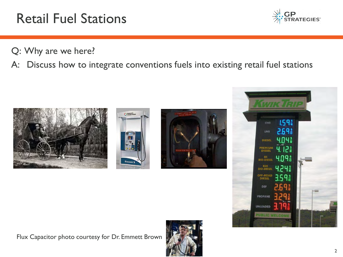## Retail Fuel Stations



Q: Why are we here?

A: Discuss how to integrate conventions fuels into existing retail fuel stations









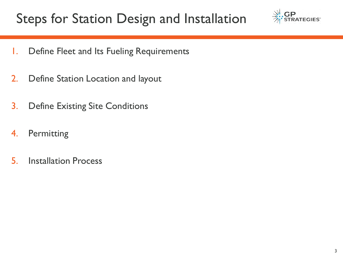# Steps for Station Design and Installation



- 1. Define Fleet and Its Fueling Requirements
- 2. Define Station Location and layout
- 3. Define Existing Site Conditions
- 4. Permitting
- 5. Installation Process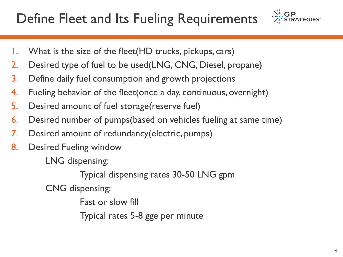# Define Fleet and Its Fueling Requirements



- 1. What is the size of the fleet(HD trucks, pickups, cars)
- 2. Desired type of fuel to be used(LNG, CNG, Diesel, propane)
- 3. Define daily fuel consumption and growth projections
- 4. Fueling behavior of the fleet(once a day, continuous, overnight)
- 5. Desired amount of fuel storage(reserve fuel)
- 6. Desired number of pumps(based on vehicles fueling at same time)
- 7. Desired amount of redundancy(electric, pumps)
- 8. Desired Fueling window

LNG dispensing:

Typical dispensing rates 30-50 LNG gpm

CNG dispensing:

Fast or slow fill

Typical rates 5-8 gge per minute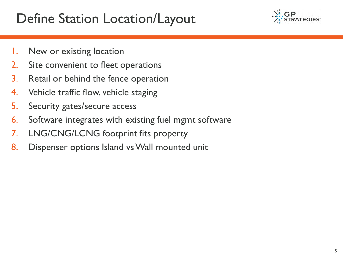# Define Station Location/Layout



- 1. New or existing location
- 2. Site convenient to fleet operations
- 3. Retail or behind the fence operation
- 4. Vehicle traffic flow, vehicle staging
- 5. Security gates/secure access
- 6. Software integrates with existing fuel mgmt software
- 7. LNG/CNG/LCNG footprint fits property
- 8. Dispenser options Island vs Wall mounted unit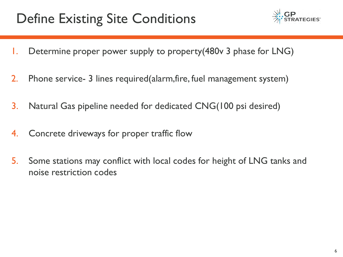# Define Existing Site Conditions



- 1. Determine proper power supply to property(480v 3 phase for LNG)
- 2. Phone service- 3 lines required(alarm,fire, fuel management system)
- 3. Natural Gas pipeline needed for dedicated CNG(100 psi desired)
- 4. Concrete driveways for proper traffic flow
- 5. Some stations may conflict with local codes for height of LNG tanks and noise restriction codes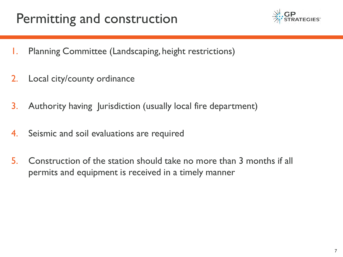# Permitting and construction



- 1. Planning Committee (Landscaping, height restrictions)
- 2. Local city/county ordinance
- 3. Authority having Jurisdiction (usually local fire department)
- 4. Seismic and soil evaluations are required
- 5. Construction of the station should take no more than 3 months if all permits and equipment is received in a timely manner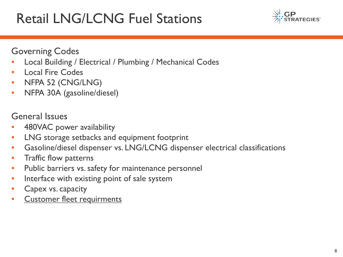# Retail LNG/LCNG Fuel Stations



#### Governing Codes

- Local Building / Electrical / Plumbing / Mechanical Codes
- Local Fire Codes
- NFPA 52 (CNG/LNG)
- NFPA 30A (gasoline/diesel)

#### General Issues

- 480VAC power availability
- LNG storage setbacks and equipment footprint
- Gasoline/diesel dispenser vs. LNG/LCNG dispenser electrical classifications
- Traffic flow patterns
- Public barriers vs. safety for maintenance personnel
- Interface with existing point of sale system
- Capex vs. capacity
- **Customer fleet requirments**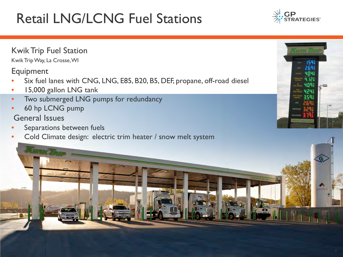# Retail LNG/LCNG Fuel Stations



Kwik Trip Fuel Station

Kwik Trip Way, La Crosse, WI

#### Equipment

- Six fuel lanes with CNG, LNG, E85, B20, B5, DEF, propane, off-road diesel
- 15,000 gallon LNG tank
- Two submerged LNG pumps for redundancy
- 60 hp LCNG pump
- General Issues
- Separations between fuels
- Cold Climate design: electric trim heater / snow melt system

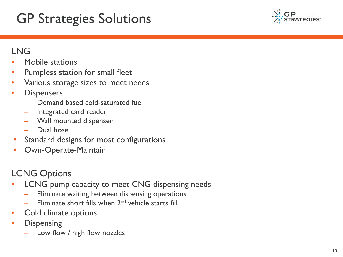# GP Strategies Solutions



### LNG

- Mobile stations
- Pumpless station for small fleet
- Various storage sizes to meet needs
- **Dispensers** 
	- Demand based cold-saturated fuel
	- Integrated card reader
	- Wall mounted dispenser
	- Dual hose
- Standard designs for most configurations
- Own-Operate-Maintain

## LCNG Options

- LCNG pump capacity to meet CNG dispensing needs
	- Eliminate waiting between dispensing operations
	- Eliminate short fills when  $2<sup>nd</sup>$  vehicle starts fill
- Cold climate options
- **Dispensing** 
	- Low flow / high flow nozzles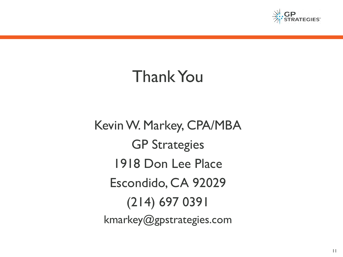

# Thank You

Kevin W. Markey, CPA/MBA GP Strategies 1918 Don Lee Place Escondido, CA 92029 (214) 697 0391 kmarkey@gpstrategies.com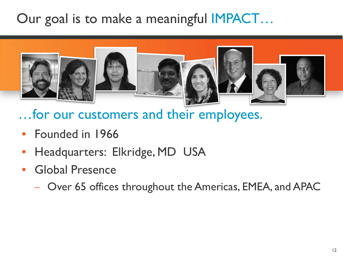# Our goal is to make a meaningful IMPACT…



…for our customers and their employees.

- Founded in 1966
- Headquarters: Elkridge, MD USA
- Global Presence
	- Over 65 offices throughout the Americas, EMEA, and APAC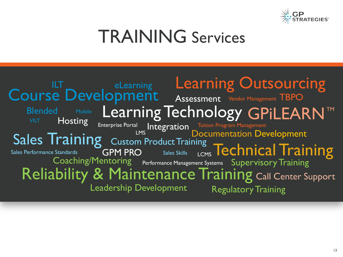

# TRAINING Services

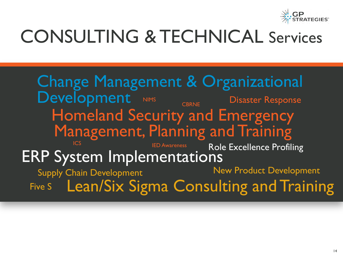

# CONSULTING & TECHNICAL Services

Change Management & Organizational Development ERP System Implementations Homeland Security and Emergency Management, Planning and Training Five S Lean/Six Sigma Consulting and Training ICS IED Awareness Role Excellence Profiling CBRNE Disaster Response NIMS Supply Chain Development New Product Development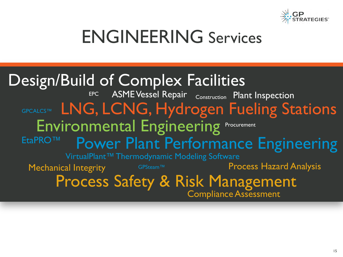

# ENGINEERING Services

# Design/Build of Complex Facilities

#### LNG, LCNG, Hydrogen Fueling Stations Environmental Engineering EPC ASME Vessel Repair Construction Plant Inspection EtaPRO™ Procurement GPCALCS™

# Power Plant Performance Engineering

VirtualPlant™ Thermodynamic Modeling Software

GPSteam™ Mechanical Integrity

Process Hazard Analysis

Process Safety & Risk Management Compliance Assessment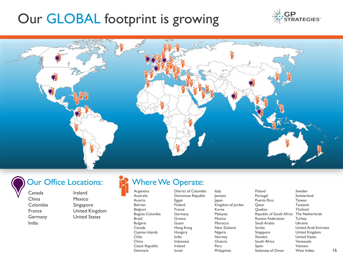# Our GLOBAL footprint is growing





#### Our Office Locations:

Canada China Colombia France Germany India

## Ireland

Mexico Singapore United Kingdom United States

### Where We Operate:

Argentina Australia Austria Bahrain Belgium Bogota Columbia Brazil Bulgaria Canada Cayman Islands Chile China Czech Republic Denmark

District of Columbia Dominican Republic Egypt Finland France Germany Greece Guam

Hong Kong Hungary India Indonesia Ireland Israel

Jamaica Japan Kingdom of Jordan Korea Malaysia **Mexico** Morocco New Zealand Nigeria Norway Ontario Peru **Philippines** 

Italy

Poland Portugal Puerto Rico Qatar Quebec Saudi Arabia Serbia Singapore Slovakia South Africa Spain

Republic of South Africa Russian Federation Sultanate of Oman Sweden Switzerland Taiwan Tanzania **Thailand** The Netherlands **Turkey** Ukraine United Arab Emirates United Kingdom United States Venezuela Vietnam West Indies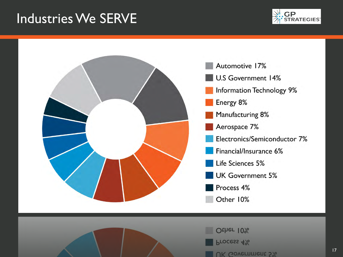## Industries We SERVE







Other 10%

Process 4%

17